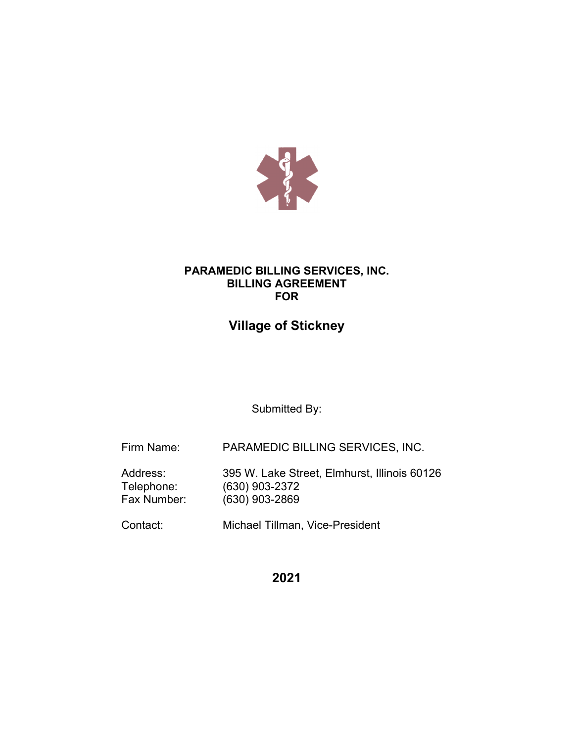

# **PARAMEDIC BILLING SERVICES, INC. BILLING AGREEMENT FOR**

# **Village of Stickney**

Submitted By:

Firm Name: PARAMEDIC BILLING SERVICES, INC.

Address: 395 W. Lake Street, Elmhurst, Illinois 60126<br>Telephone: (630) 903-2372 Telephone: (630) 903-2372<br>Fax Number: (630) 903-2869 (630) 903-2869

Contact: Michael Tillman, Vice-President

**2021**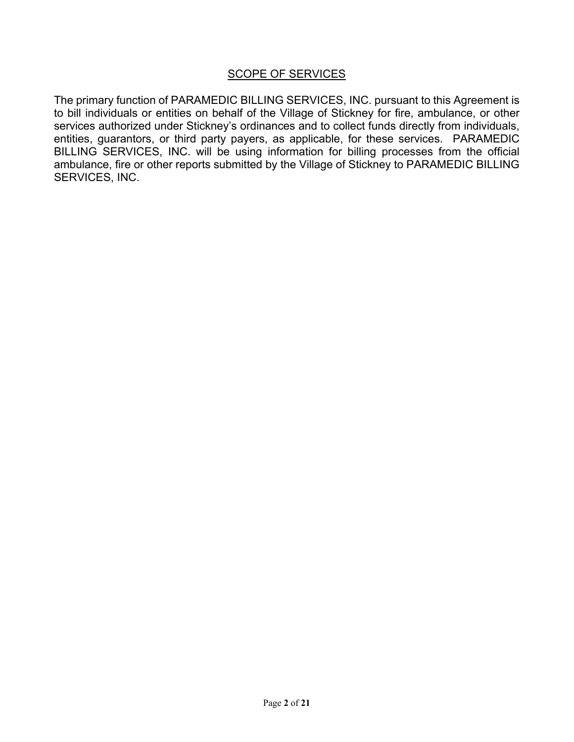## **SCOPE OF SERVICES**

The primary function of PARAMEDIC BILLING SERVICES, INC. pursuant to this Agreement is to bill individuals or entities on behalf of the Village of Stickney for fire, ambulance, or other services authorized under Stickney's ordinances and to collect funds directly from individuals, entities, guarantors, or third party payers, as applicable, for these services. PARAMEDIC BILLING SERVICES, INC. will be using information for billing processes from the official ambulance, fire or other reports submitted by the Village of Stickney to PARAMEDIC BILLING SERVICES, INC.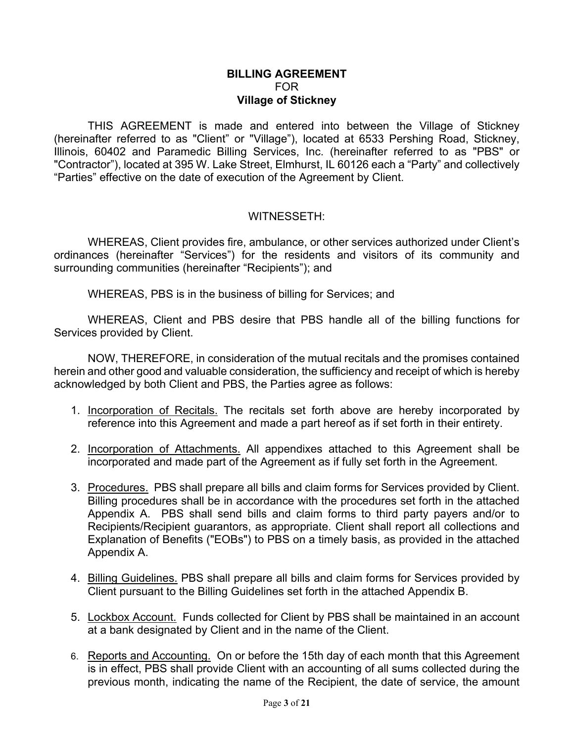## **BILLING AGREEMENT** FOR **Village of Stickney**

THIS AGREEMENT is made and entered into between the Village of Stickney (hereinafter referred to as "Client" or "Village"), located at 6533 Pershing Road, Stickney, Illinois, 60402 and Paramedic Billing Services, Inc. (hereinafter referred to as "PBS" or "Contractor"), located at 395 W. Lake Street, Elmhurst, IL 60126 each a "Party" and collectively "Parties" effective on the date of execution of the Agreement by Client.

## WITNESSETH:

WHEREAS, Client provides fire, ambulance, or other services authorized under Client's ordinances (hereinafter "Services") for the residents and visitors of its community and surrounding communities (hereinafter "Recipients"); and

WHEREAS, PBS is in the business of billing for Services; and

WHEREAS, Client and PBS desire that PBS handle all of the billing functions for Services provided by Client.

NOW, THEREFORE, in consideration of the mutual recitals and the promises contained herein and other good and valuable consideration, the sufficiency and receipt of which is hereby acknowledged by both Client and PBS, the Parties agree as follows:

- 1. Incorporation of Recitals. The recitals set forth above are hereby incorporated by reference into this Agreement and made a part hereof as if set forth in their entirety.
- 2. Incorporation of Attachments. All appendixes attached to this Agreement shall be incorporated and made part of the Agreement as if fully set forth in the Agreement.
- 3. Procedures. PBS shall prepare all bills and claim forms for Services provided by Client. Billing procedures shall be in accordance with the procedures set forth in the attached Appendix A. PBS shall send bills and claim forms to third party payers and/or to Recipients/Recipient guarantors, as appropriate. Client shall report all collections and Explanation of Benefits ("EOBs") to PBS on a timely basis, as provided in the attached Appendix A.
- 4. Billing Guidelines. PBS shall prepare all bills and claim forms for Services provided by Client pursuant to the Billing Guidelines set forth in the attached Appendix B.
- 5. Lockbox Account. Funds collected for Client by PBS shall be maintained in an account at a bank designated by Client and in the name of the Client.
- 6. Reports and Accounting. On or before the 15th day of each month that this Agreement is in effect, PBS shall provide Client with an accounting of all sums collected during the previous month, indicating the name of the Recipient, the date of service, the amount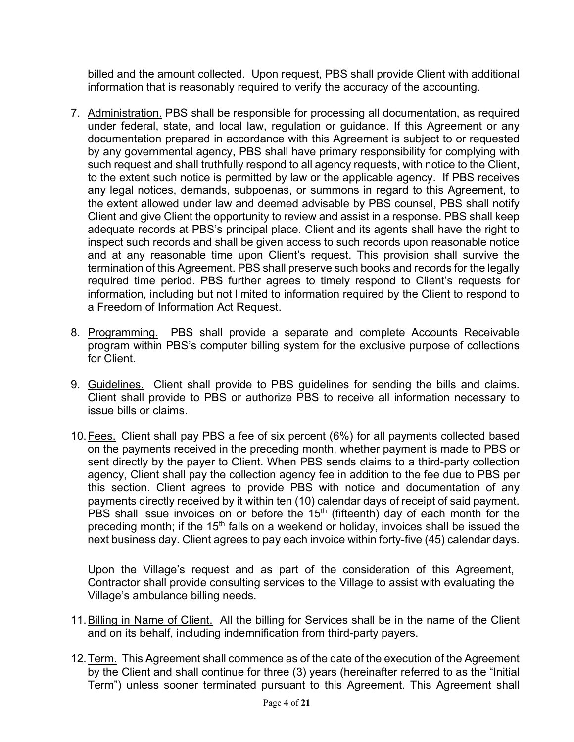billed and the amount collected. Upon request, PBS shall provide Client with additional information that is reasonably required to verify the accuracy of the accounting.

- 7. Administration. PBS shall be responsible for processing all documentation, as required under federal, state, and local law, regulation or guidance. If this Agreement or any documentation prepared in accordance with this Agreement is subject to or requested by any governmental agency, PBS shall have primary responsibility for complying with such request and shall truthfully respond to all agency requests, with notice to the Client, to the extent such notice is permitted by law or the applicable agency. If PBS receives any legal notices, demands, subpoenas, or summons in regard to this Agreement, to the extent allowed under law and deemed advisable by PBS counsel, PBS shall notify Client and give Client the opportunity to review and assist in a response. PBS shall keep adequate records at PBS's principal place. Client and its agents shall have the right to inspect such records and shall be given access to such records upon reasonable notice and at any reasonable time upon Client's request. This provision shall survive the termination of this Agreement. PBS shall preserve such books and records for the legally required time period. PBS further agrees to timely respond to Client's requests for information, including but not limited to information required by the Client to respond to a Freedom of Information Act Request.
- 8. Programming. PBS shall provide a separate and complete Accounts Receivable program within PBS's computer billing system for the exclusive purpose of collections for Client.
- 9. Guidelines. Client shall provide to PBS guidelines for sending the bills and claims. Client shall provide to PBS or authorize PBS to receive all information necessary to issue bills or claims.
- 10.Fees. Client shall pay PBS a fee of six percent (6%) for all payments collected based on the payments received in the preceding month, whether payment is made to PBS or sent directly by the payer to Client. When PBS sends claims to a third-party collection agency, Client shall pay the collection agency fee in addition to the fee due to PBS per this section. Client agrees to provide PBS with notice and documentation of any payments directly received by it within ten (10) calendar days of receipt of said payment. PBS shall issue invoices on or before the 15th (fifteenth) day of each month for the preceding month; if the 15<sup>th</sup> falls on a weekend or holiday, invoices shall be issued the next business day. Client agrees to pay each invoice within forty-five (45) calendar days.

Upon the Village's request and as part of the consideration of this Agreement, Contractor shall provide consulting services to the Village to assist with evaluating the Village's ambulance billing needs.

- 11.Billing in Name of Client. All the billing for Services shall be in the name of the Client and on its behalf, including indemnification from third-party payers.
- 12.Term. This Agreement shall commence as of the date of the execution of the Agreement by the Client and shall continue for three (3) years (hereinafter referred to as the "Initial Term") unless sooner terminated pursuant to this Agreement. This Agreement shall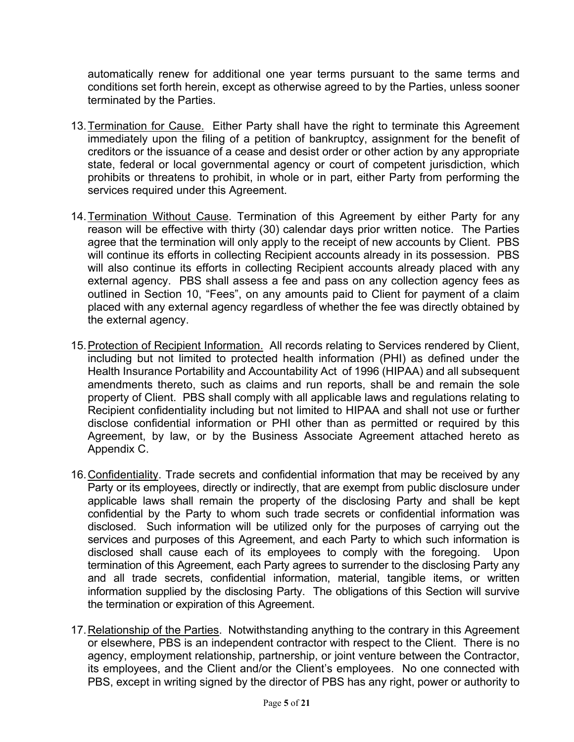automatically renew for additional one year terms pursuant to the same terms and conditions set forth herein, except as otherwise agreed to by the Parties, unless sooner terminated by the Parties.

- 13.Termination for Cause. Either Party shall have the right to terminate this Agreement immediately upon the filing of a petition of bankruptcy, assignment for the benefit of creditors or the issuance of a cease and desist order or other action by any appropriate state, federal or local governmental agency or court of competent jurisdiction, which prohibits or threatens to prohibit, in whole or in part, either Party from performing the services required under this Agreement.
- 14.Termination Without Cause. Termination of this Agreement by either Party for any reason will be effective with thirty (30) calendar days prior written notice. The Parties agree that the termination will only apply to the receipt of new accounts by Client. PBS will continue its efforts in collecting Recipient accounts already in its possession. PBS will also continue its efforts in collecting Recipient accounts already placed with any external agency. PBS shall assess a fee and pass on any collection agency fees as outlined in Section 10, "Fees", on any amounts paid to Client for payment of a claim placed with any external agency regardless of whether the fee was directly obtained by the external agency.
- 15.Protection of Recipient Information. All records relating to Services rendered by Client, including but not limited to protected health information (PHI) as defined under the Health Insurance Portability and Accountability Act of 1996 (HIPAA) and all subsequent amendments thereto, such as claims and run reports, shall be and remain the sole property of Client. PBS shall comply with all applicable laws and regulations relating to Recipient confidentiality including but not limited to HIPAA and shall not use or further disclose confidential information or PHI other than as permitted or required by this Agreement, by law, or by the Business Associate Agreement attached hereto as Appendix C.
- 16.Confidentiality. Trade secrets and confidential information that may be received by any Party or its employees, directly or indirectly, that are exempt from public disclosure under applicable laws shall remain the property of the disclosing Party and shall be kept confidential by the Party to whom such trade secrets or confidential information was disclosed. Such information will be utilized only for the purposes of carrying out the services and purposes of this Agreement, and each Party to which such information is disclosed shall cause each of its employees to comply with the foregoing. Upon termination of this Agreement, each Party agrees to surrender to the disclosing Party any and all trade secrets, confidential information, material, tangible items, or written information supplied by the disclosing Party. The obligations of this Section will survive the termination or expiration of this Agreement.
- 17. Relationship of the Parties. Notwithstanding anything to the contrary in this Agreement or elsewhere, PBS is an independent contractor with respect to the Client. There is no agency, employment relationship, partnership, or joint venture between the Contractor, its employees, and the Client and/or the Client's employees. No one connected with PBS, except in writing signed by the director of PBS has any right, power or authority to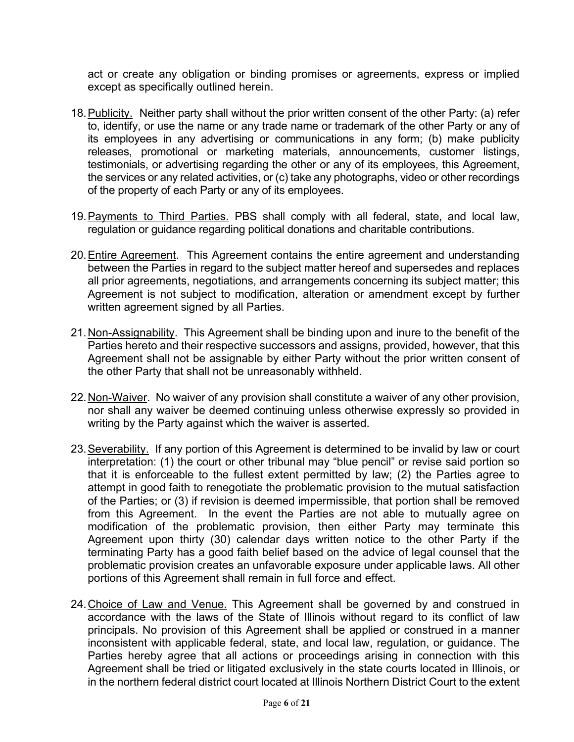act or create any obligation or binding promises or agreements, express or implied except as specifically outlined herein.

- 18.Publicity. Neither party shall without the prior written consent of the other Party: (a) refer to, identify, or use the name or any trade name or trademark of the other Party or any of its employees in any advertising or communications in any form; (b) make publicity releases, promotional or marketing materials, announcements, customer listings, testimonials, or advertising regarding the other or any of its employees, this Agreement, the services or any related activities, or (c) take any photographs, video or other recordings of the property of each Party or any of its employees.
- 19.Payments to Third Parties. PBS shall comply with all federal, state, and local law, regulation or guidance regarding political donations and charitable contributions.
- 20.Entire Agreement. This Agreement contains the entire agreement and understanding between the Parties in regard to the subject matter hereof and supersedes and replaces all prior agreements, negotiations, and arrangements concerning its subject matter; this Agreement is not subject to modification, alteration or amendment except by further written agreement signed by all Parties.
- 21.Non-Assignability. This Agreement shall be binding upon and inure to the benefit of the Parties hereto and their respective successors and assigns, provided, however, that this Agreement shall not be assignable by either Party without the prior written consent of the other Party that shall not be unreasonably withheld.
- 22.Non-Waiver. No waiver of any provision shall constitute a waiver of any other provision, nor shall any waiver be deemed continuing unless otherwise expressly so provided in writing by the Party against which the waiver is asserted.
- 23.Severability. If any portion of this Agreement is determined to be invalid by law or court interpretation: (1) the court or other tribunal may "blue pencil" or revise said portion so that it is enforceable to the fullest extent permitted by law; (2) the Parties agree to attempt in good faith to renegotiate the problematic provision to the mutual satisfaction of the Parties; or (3) if revision is deemed impermissible, that portion shall be removed from this Agreement. In the event the Parties are not able to mutually agree on modification of the problematic provision, then either Party may terminate this Agreement upon thirty (30) calendar days written notice to the other Party if the terminating Party has a good faith belief based on the advice of legal counsel that the problematic provision creates an unfavorable exposure under applicable laws. All other portions of this Agreement shall remain in full force and effect.
- 24.Choice of Law and Venue. This Agreement shall be governed by and construed in accordance with the laws of the State of Illinois without regard to its conflict of law principals. No provision of this Agreement shall be applied or construed in a manner inconsistent with applicable federal, state, and local law, regulation, or guidance. The Parties hereby agree that all actions or proceedings arising in connection with this Agreement shall be tried or litigated exclusively in the state courts located in Illinois, or in the northern federal district court located at Illinois Northern District Court to the extent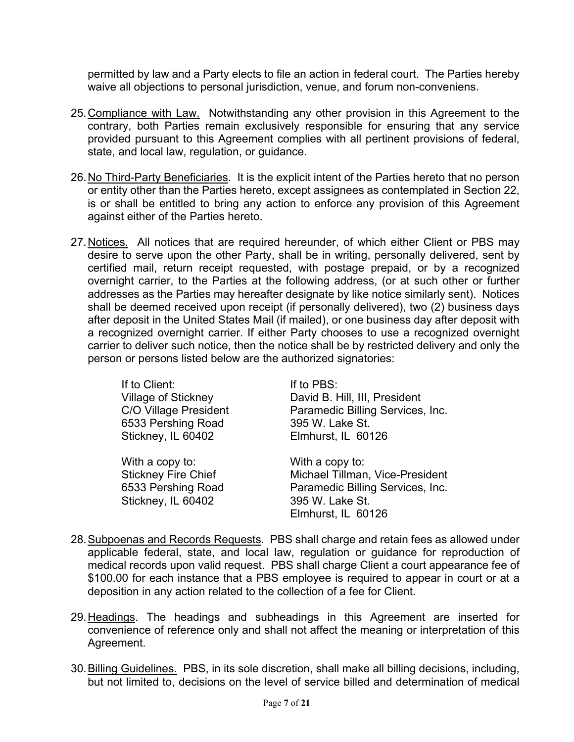permitted by law and a Party elects to file an action in federal court. The Parties hereby waive all objections to personal jurisdiction, venue, and forum non-conveniens.

- 25.Compliance with Law. Notwithstanding any other provision in this Agreement to the contrary, both Parties remain exclusively responsible for ensuring that any service provided pursuant to this Agreement complies with all pertinent provisions of federal, state, and local law, regulation, or guidance.
- 26.No Third-Party Beneficiaries. It is the explicit intent of the Parties hereto that no person or entity other than the Parties hereto, except assignees as contemplated in Section 22, is or shall be entitled to bring any action to enforce any provision of this Agreement against either of the Parties hereto.
- 27.Notices. All notices that are required hereunder, of which either Client or PBS may desire to serve upon the other Party, shall be in writing, personally delivered, sent by certified mail, return receipt requested, with postage prepaid, or by a recognized overnight carrier, to the Parties at the following address, (or at such other or further addresses as the Parties may hereafter designate by like notice similarly sent). Notices shall be deemed received upon receipt (if personally delivered), two (2) business days after deposit in the United States Mail (if mailed), or one business day after deposit with a recognized overnight carrier. If either Party chooses to use a recognized overnight carrier to deliver such notice, then the notice shall be by restricted delivery and only the person or persons listed below are the authorized signatories:

| If to Client:                                                                             | If to PBS:                                                                                                                      |
|-------------------------------------------------------------------------------------------|---------------------------------------------------------------------------------------------------------------------------------|
| <b>Village of Stickney</b>                                                                | David B. Hill, III, President                                                                                                   |
| <b>C/O Village President</b>                                                              | Paramedic Billing Services, Inc.                                                                                                |
| 6533 Pershing Road                                                                        | 395 W. Lake St.                                                                                                                 |
| Stickney, IL 60402                                                                        | Elmhurst, IL 60126                                                                                                              |
| With a copy to:<br><b>Stickney Fire Chief</b><br>6533 Pershing Road<br>Stickney, IL 60402 | With a copy to:<br>Michael Tillman, Vice-President<br>Paramedic Billing Services, Inc.<br>395 W. Lake St.<br>Elmhurst, IL 60126 |

- 28.Subpoenas and Records Requests. PBS shall charge and retain fees as allowed under applicable federal, state, and local law, regulation or guidance for reproduction of medical records upon valid request. PBS shall charge Client a court appearance fee of \$100.00 for each instance that a PBS employee is required to appear in court or at a deposition in any action related to the collection of a fee for Client.
- 29. Headings. The headings and subheadings in this Agreement are inserted for convenience of reference only and shall not affect the meaning or interpretation of this Agreement.
- 30.Billing Guidelines. PBS, in its sole discretion, shall make all billing decisions, including, but not limited to, decisions on the level of service billed and determination of medical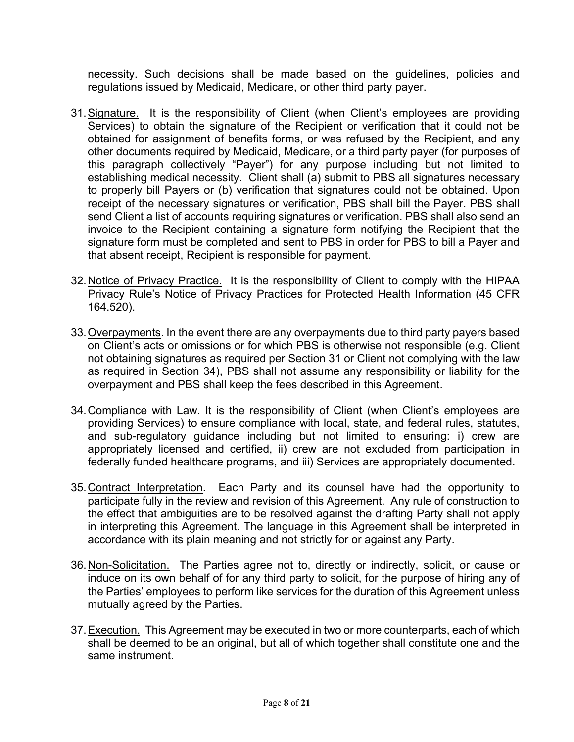necessity. Such decisions shall be made based on the guidelines, policies and regulations issued by Medicaid, Medicare, or other third party payer.

- 31.Signature. It is the responsibility of Client (when Client's employees are providing Services) to obtain the signature of the Recipient or verification that it could not be obtained for assignment of benefits forms, or was refused by the Recipient, and any other documents required by Medicaid, Medicare, or a third party payer (for purposes of this paragraph collectively "Payer") for any purpose including but not limited to establishing medical necessity. Client shall (a) submit to PBS all signatures necessary to properly bill Payers or (b) verification that signatures could not be obtained. Upon receipt of the necessary signatures or verification, PBS shall bill the Payer. PBS shall send Client a list of accounts requiring signatures or verification. PBS shall also send an invoice to the Recipient containing a signature form notifying the Recipient that the signature form must be completed and sent to PBS in order for PBS to bill a Payer and that absent receipt, Recipient is responsible for payment.
- 32.Notice of Privacy Practice. It is the responsibility of Client to comply with the HIPAA Privacy Rule's Notice of Privacy Practices for Protected Health Information (45 CFR 164.520).
- 33.Overpayments. In the event there are any overpayments due to third party payers based on Client's acts or omissions or for which PBS is otherwise not responsible (e.g. Client not obtaining signatures as required per Section 31 or Client not complying with the law as required in Section 34), PBS shall not assume any responsibility or liability for the overpayment and PBS shall keep the fees described in this Agreement.
- 34.Compliance with Law*.* It is the responsibility of Client (when Client's employees are providing Services) to ensure compliance with local, state, and federal rules, statutes, and sub-regulatory guidance including but not limited to ensuring: i) crew are appropriately licensed and certified, ii) crew are not excluded from participation in federally funded healthcare programs, and iii) Services are appropriately documented.
- 35.Contract Interpretation. Each Party and its counsel have had the opportunity to participate fully in the review and revision of this Agreement. Any rule of construction to the effect that ambiguities are to be resolved against the drafting Party shall not apply in interpreting this Agreement. The language in this Agreement shall be interpreted in accordance with its plain meaning and not strictly for or against any Party.
- 36.Non-Solicitation. The Parties agree not to, directly or indirectly, solicit, or cause or induce on its own behalf of for any third party to solicit, for the purpose of hiring any of the Parties' employees to perform like services for the duration of this Agreement unless mutually agreed by the Parties.
- 37.Execution. This Agreement may be executed in two or more counterparts, each of which shall be deemed to be an original, but all of which together shall constitute one and the same instrument.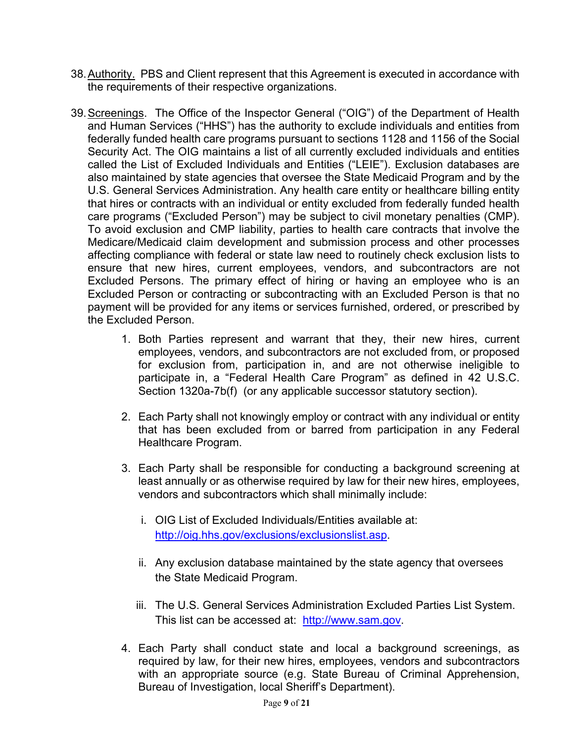- 38.Authority. PBS and Client represent that this Agreement is executed in accordance with the requirements of their respective organizations.
- 39.Screenings.The Office of the Inspector General ("OIG") of the Department of Health and Human Services ("HHS") has the authority to exclude individuals and entities from federally funded health care programs pursuant to sections 1128 and 1156 of the Social Security Act. The OIG maintains a list of all currently excluded individuals and entities called the List of Excluded Individuals and Entities ("LEIE"). Exclusion databases are also maintained by state agencies that oversee the State Medicaid Program and by the U.S. General Services Administration. Any health care entity or healthcare billing entity that hires or contracts with an individual or entity excluded from federally funded health care programs ("Excluded Person") may be subject to civil monetary penalties (CMP). To avoid exclusion and CMP liability, parties to health care contracts that involve the Medicare/Medicaid claim development and submission process and other processes affecting compliance with federal or state law need to routinely check exclusion lists to ensure that new hires, current employees, vendors, and subcontractors are not Excluded Persons. The primary effect of hiring or having an employee who is an Excluded Person or contracting or subcontracting with an Excluded Person is that no payment will be provided for any items or services furnished, ordered, or prescribed by the Excluded Person.
	- 1. Both Parties represent and warrant that they, their new hires, current employees, vendors, and subcontractors are not excluded from, or proposed for exclusion from, participation in, and are not otherwise ineligible to participate in, a "Federal Health Care Program" as defined in 42 U.S.C. Section 1320a-7b(f) (or any applicable successor statutory section).
	- 2. Each Party shall not knowingly employ or contract with any individual or entity that has been excluded from or barred from participation in any Federal Healthcare Program.
	- 3. Each Party shall be responsible for conducting a background screening at least annually or as otherwise required by law for their new hires, employees, vendors and subcontractors which shall minimally include:
		- i. OIG List of Excluded Individuals/Entities available at: [http://oig.hhs.gov/exclusions/exclusionslist.asp.](http://oig.hhs.gov/exclusions/exclusionslist.asp)
		- ii. Any exclusion database maintained by the state agency that oversees the State Medicaid Program.
		- iii. The U.S. General Services Administration Excluded Parties List System. This list can be accessed at: [http://www.sam.gov.](http://www.sam.gov/)
	- 4. Each Party shall conduct state and local a background screenings, as required by law, for their new hires, employees, vendors and subcontractors with an appropriate source (e.g. State Bureau of Criminal Apprehension, Bureau of Investigation, local Sheriff's Department).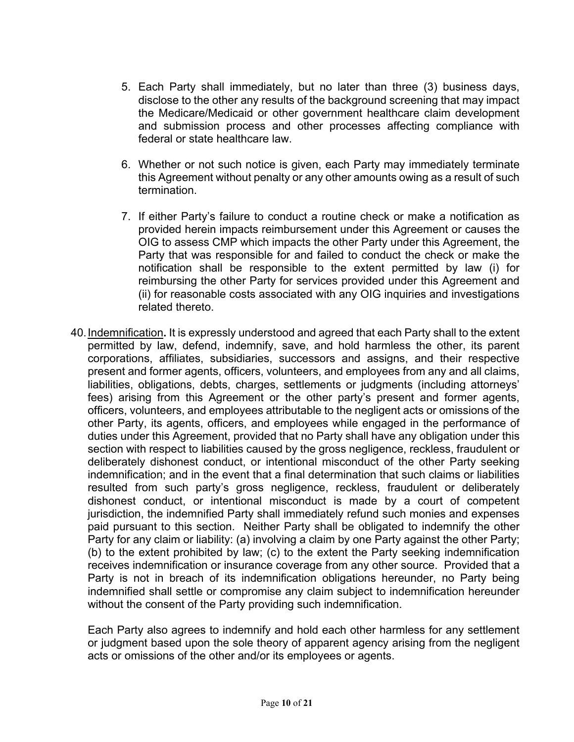- 5. Each Party shall immediately, but no later than three (3) business days, disclose to the other any results of the background screening that may impact the Medicare/Medicaid or other government healthcare claim development and submission process and other processes affecting compliance with federal or state healthcare law.
- 6. Whether or not such notice is given, each Party may immediately terminate this Agreement without penalty or any other amounts owing as a result of such termination.
- 7. If either Party's failure to conduct a routine check or make a notification as provided herein impacts reimbursement under this Agreement or causes the OIG to assess CMP which impacts the other Party under this Agreement, the Party that was responsible for and failed to conduct the check or make the notification shall be responsible to the extent permitted by law (i) for reimbursing the other Party for services provided under this Agreement and (ii) for reasonable costs associated with any OIG inquiries and investigations related thereto.
- 40.Indemnification**.** It is expressly understood and agreed that each Party shall to the extent permitted by law, defend, indemnify, save, and hold harmless the other, its parent corporations, affiliates, subsidiaries, successors and assigns, and their respective present and former agents, officers, volunteers, and employees from any and all claims, liabilities, obligations, debts, charges, settlements or judgments (including attorneys' fees) arising from this Agreement or the other party's present and former agents, officers, volunteers, and employees attributable to the negligent acts or omissions of the other Party, its agents, officers, and employees while engaged in the performance of duties under this Agreement, provided that no Party shall have any obligation under this section with respect to liabilities caused by the gross negligence, reckless, fraudulent or deliberately dishonest conduct, or intentional misconduct of the other Party seeking indemnification; and in the event that a final determination that such claims or liabilities resulted from such party's gross negligence, reckless, fraudulent or deliberately dishonest conduct, or intentional misconduct is made by a court of competent jurisdiction, the indemnified Party shall immediately refund such monies and expenses paid pursuant to this section. Neither Party shall be obligated to indemnify the other Party for any claim or liability: (a) involving a claim by one Party against the other Party; (b) to the extent prohibited by law; (c) to the extent the Party seeking indemnification receives indemnification or insurance coverage from any other source. Provided that a Party is not in breach of its indemnification obligations hereunder, no Party being indemnified shall settle or compromise any claim subject to indemnification hereunder without the consent of the Party providing such indemnification.

Each Party also agrees to indemnify and hold each other harmless for any settlement or judgment based upon the sole theory of apparent agency arising from the negligent acts or omissions of the other and/or its employees or agents.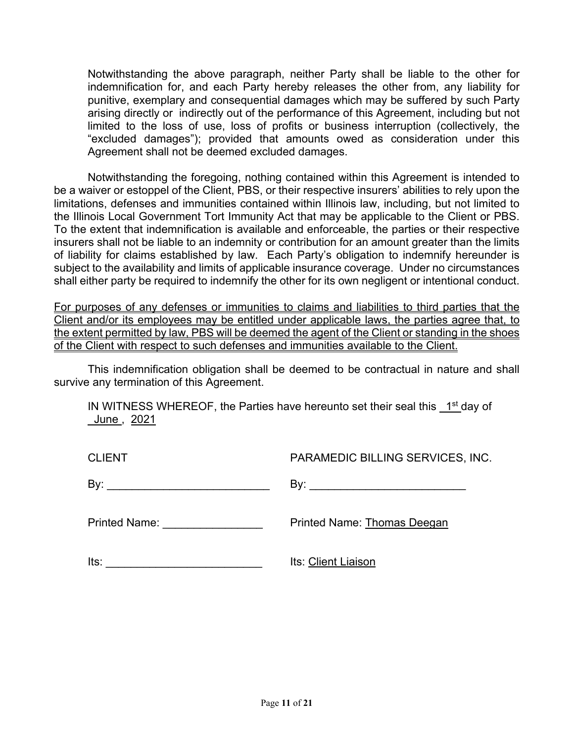Notwithstanding the above paragraph, neither Party shall be liable to the other for indemnification for, and each Party hereby releases the other from, any liability for punitive, exemplary and consequential damages which may be suffered by such Party arising directly or indirectly out of the performance of this Agreement, including but not limited to the loss of use, loss of profits or business interruption (collectively, the "excluded damages"); provided that amounts owed as consideration under this Agreement shall not be deemed excluded damages.

Notwithstanding the foregoing, nothing contained within this Agreement is intended to be a waiver or estoppel of the Client, PBS, or their respective insurers' abilities to rely upon the limitations, defenses and immunities contained within Illinois law, including, but not limited to the Illinois Local Government Tort Immunity Act that may be applicable to the Client or PBS. To the extent that indemnification is available and enforceable, the parties or their respective insurers shall not be liable to an indemnity or contribution for an amount greater than the limits of liability for claims established by law. Each Party's obligation to indemnify hereunder is subject to the availability and limits of applicable insurance coverage. Under no circumstances shall either party be required to indemnify the other for its own negligent or intentional conduct.

For purposes of any defenses or immunities to claims and liabilities to third parties that the Client and/or its employees may be entitled under applicable laws, the parties agree that, to the extent permitted by law, PBS will be deemed the agent of the Client or standing in the shoes of the Client with respect to such defenses and immunities available to the Client.

This indemnification obligation shall be deemed to be contractual in nature and shall survive any termination of this Agreement.

IN WITNESS WHEREOF, the Parties have hereunto set their seal this  $1<sup>st</sup>$  day of June , 2021

| <b>CLIENT</b>              | <b>PARAMEDIC BILLING SERVICES, INC.</b> |
|----------------------------|-----------------------------------------|
| By:                        |                                         |
| <b>Printed Name:</b> Name: | <b>Printed Name: Thomas Deegan</b>      |
| lts:                       | Its: Client Liaison                     |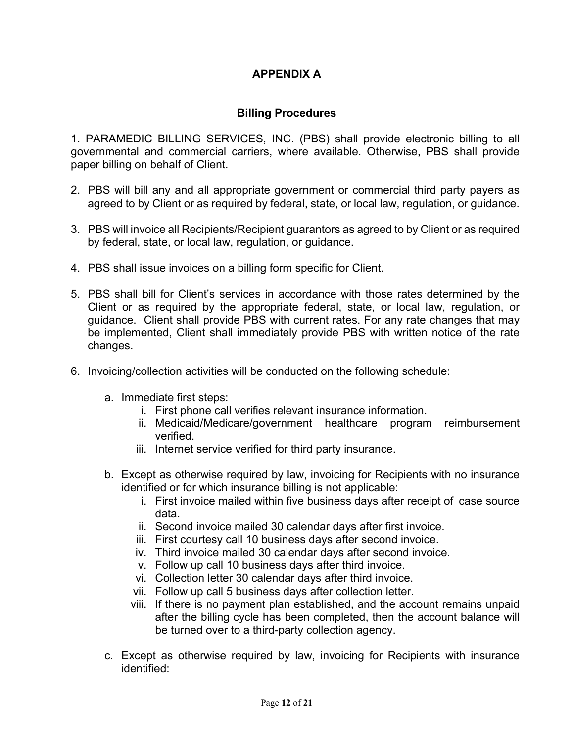# **APPENDIX A**

# **Billing Procedures**

1. PARAMEDIC BILLING SERVICES, INC. (PBS) shall provide electronic billing to all governmental and commercial carriers, where available. Otherwise, PBS shall provide paper billing on behalf of Client.

- 2. PBS will bill any and all appropriate government or commercial third party payers as agreed to by Client or as required by federal, state, or local law, regulation, or guidance.
- 3. PBS will invoice all Recipients/Recipient guarantors as agreed to by Client or as required by federal, state, or local law, regulation, or guidance.
- 4. PBS shall issue invoices on a billing form specific for Client.
- 5. PBS shall bill for Client's services in accordance with those rates determined by the Client or as required by the appropriate federal, state, or local law, regulation, or guidance. Client shall provide PBS with current rates. For any rate changes that may be implemented, Client shall immediately provide PBS with written notice of the rate changes.
- 6. Invoicing/collection activities will be conducted on the following schedule:
	- a. Immediate first steps:
		- i. First phone call verifies relevant insurance information.
		- ii. Medicaid/Medicare/government healthcare program reimbursement verified.
		- iii. Internet service verified for third party insurance.
	- b. Except as otherwise required by law, invoicing for Recipients with no insurance identified or for which insurance billing is not applicable:
		- i. First invoice mailed within five business days after receipt of case source data.
		- ii. Second invoice mailed 30 calendar days after first invoice.
		- iii. First courtesy call 10 business days after second invoice.
		- iv. Third invoice mailed 30 calendar days after second invoice.
		- v. Follow up call 10 business days after third invoice.
		- vi. Collection letter 30 calendar days after third invoice.
		- vii. Follow up call 5 business days after collection letter.
		- viii. If there is no payment plan established, and the account remains unpaid after the billing cycle has been completed, then the account balance will be turned over to a third-party collection agency.
	- c. Except as otherwise required by law, invoicing for Recipients with insurance identified: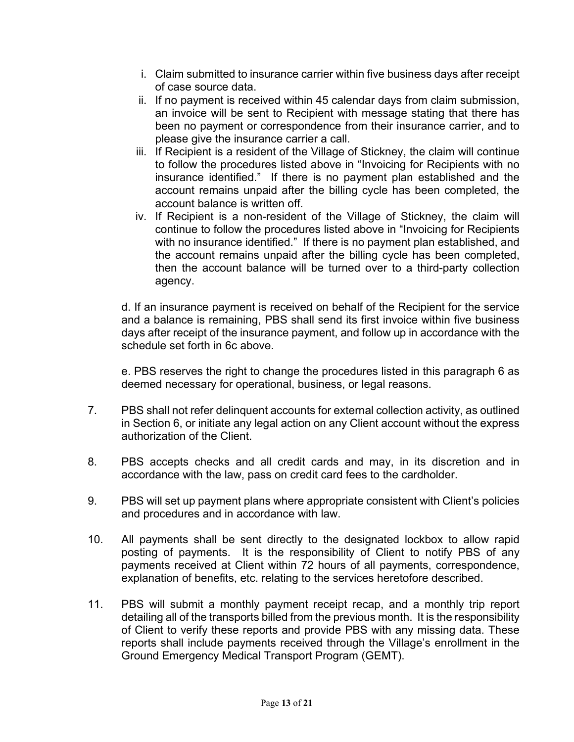- i. Claim submitted to insurance carrier within five business days after receipt of case source data.
- ii. If no payment is received within 45 calendar days from claim submission, an invoice will be sent to Recipient with message stating that there has been no payment or correspondence from their insurance carrier, and to please give the insurance carrier a call.
- iii. If Recipient is a resident of the Village of Stickney, the claim will continue to follow the procedures listed above in "Invoicing for Recipients with no insurance identified." If there is no payment plan established and the account remains unpaid after the billing cycle has been completed, the account balance is written off.
- iv. If Recipient is a non-resident of the Village of Stickney, the claim will continue to follow the procedures listed above in "Invoicing for Recipients with no insurance identified." If there is no payment plan established, and the account remains unpaid after the billing cycle has been completed, then the account balance will be turned over to a third-party collection agency.

d. If an insurance payment is received on behalf of the Recipient for the service and a balance is remaining, PBS shall send its first invoice within five business days after receipt of the insurance payment, and follow up in accordance with the schedule set forth in 6c above.

e. PBS reserves the right to change the procedures listed in this paragraph 6 as deemed necessary for operational, business, or legal reasons.

- 7. PBS shall not refer delinquent accounts for external collection activity, as outlined in Section 6, or initiate any legal action on any Client account without the express authorization of the Client.
- 8. PBS accepts checks and all credit cards and may, in its discretion and in accordance with the law, pass on credit card fees to the cardholder.
- 9. PBS will set up payment plans where appropriate consistent with Client's policies and procedures and in accordance with law.
- 10. All payments shall be sent directly to the designated lockbox to allow rapid posting of payments. It is the responsibility of Client to notify PBS of any payments received at Client within 72 hours of all payments, correspondence, explanation of benefits, etc. relating to the services heretofore described.
- 11. PBS will submit a monthly payment receipt recap, and a monthly trip report detailing all of the transports billed from the previous month. It is the responsibility of Client to verify these reports and provide PBS with any missing data. These reports shall include payments received through the Village's enrollment in the Ground Emergency Medical Transport Program (GEMT).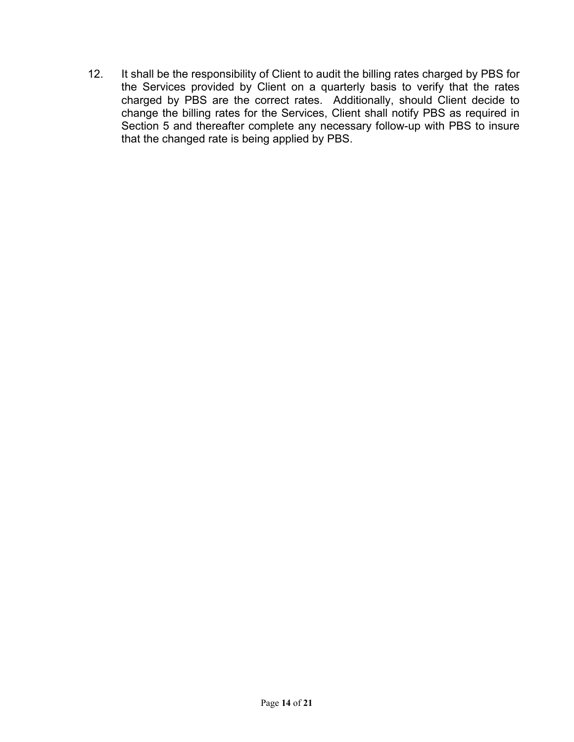12. It shall be the responsibility of Client to audit the billing rates charged by PBS for the Services provided by Client on a quarterly basis to verify that the rates charged by PBS are the correct rates. Additionally, should Client decide to change the billing rates for the Services, Client shall notify PBS as required in Section 5 and thereafter complete any necessary follow-up with PBS to insure that the changed rate is being applied by PBS.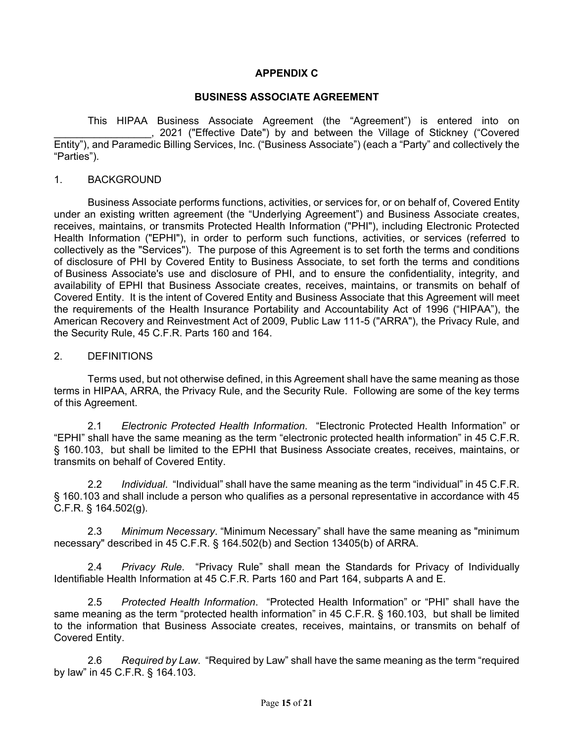## **APPENDIX C**

#### **BUSINESS ASSOCIATE AGREEMENT**

This HIPAA Business Associate Agreement (the "Agreement") is entered into on \_\_\_\_\_\_\_\_\_\_\_\_\_\_\_\_\_, 2021 ("Effective Date") by and between the Village of Stickney ("Covered Entity"), and Paramedic Billing Services, Inc. ("Business Associate") (each a "Party" and collectively the "Parties").

#### 1. BACKGROUND

Business Associate performs functions, activities, or services for, or on behalf of, Covered Entity under an existing written agreement (the "Underlying Agreement") and Business Associate creates, receives, maintains, or transmits Protected Health Information ("PHI"), including Electronic Protected Health Information ("EPHI"), in order to perform such functions, activities, or services (referred to collectively as the "Services"). The purpose of this Agreement is to set forth the terms and conditions of disclosure of PHI by Covered Entity to Business Associate, to set forth the terms and conditions of Business Associate's use and disclosure of PHI, and to ensure the confidentiality, integrity, and availability of EPHI that Business Associate creates, receives, maintains, or transmits on behalf of Covered Entity. It is the intent of Covered Entity and Business Associate that this Agreement will meet the requirements of the Health Insurance Portability and Accountability Act of 1996 ("HIPAA"), the American Recovery and Reinvestment Act of 2009, Public Law 111-5 ("ARRA"), the Privacy Rule, and the Security Rule, 45 C.F.R. Parts 160 and 164.

## 2. DEFINITIONS

Terms used, but not otherwise defined, in this Agreement shall have the same meaning as those terms in HIPAA, ARRA, the Privacy Rule, and the Security Rule. Following are some of the key terms of this Agreement.

2.1 *Electronic Protected Health Information*. "Electronic Protected Health Information" or "EPHI" shall have the same meaning as the term "electronic protected health information" in 45 C.F.R. § 160.103, but shall be limited to the EPHI that Business Associate creates, receives, maintains, or transmits on behalf of Covered Entity.

2.2 *Individual*. "Individual" shall have the same meaning as the term "individual" in 45 C.F.R. § 160.103 and shall include a person who qualifies as a personal representative in accordance with 45 C.F.R. § 164.502(g).

2.3 *Minimum Necessary*. "Minimum Necessary" shall have the same meaning as "minimum necessary" described in 45 C.F.R. § 164.502(b) and Section 13405(b) of ARRA.

2.4 *Privacy Rule*. "Privacy Rule" shall mean the Standards for Privacy of Individually Identifiable Health Information at 45 C.F.R. Parts 160 and Part 164, subparts A and E.

2.5 *Protected Health Information*. "Protected Health Information" or "PHI" shall have the same meaning as the term "protected health information" in 45 C.F.R. § 160.103, but shall be limited to the information that Business Associate creates, receives, maintains, or transmits on behalf of Covered Entity.

2.6 *Required by Law*. "Required by Law" shall have the same meaning as the term "required by law" in 45 C.F.R. § 164.103.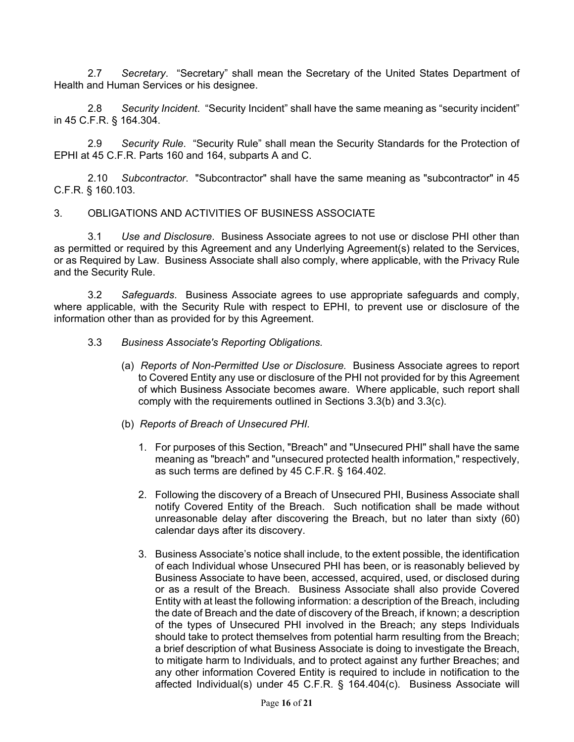2.7 *Secretary*. "Secretary" shall mean the Secretary of the United States Department of Health and Human Services or his designee.

2.8 *Security Incident*. "Security Incident" shall have the same meaning as "security incident" in 45 C.F.R. § 164.304.

2.9 *Security Rule*. "Security Rule" shall mean the Security Standards for the Protection of EPHI at 45 C.F.R. Parts 160 and 164, subparts A and C.

2.10 *Subcontractor*. "Subcontractor" shall have the same meaning as "subcontractor" in 45 C.F.R. § 160.103.

#### 3. OBLIGATIONS AND ACTIVITIES OF BUSINESS ASSOCIATE

3.1 *Use and Disclosure*. Business Associate agrees to not use or disclose PHI other than as permitted or required by this Agreement and any Underlying Agreement(s) related to the Services, or as Required by Law. Business Associate shall also comply, where applicable, with the Privacy Rule and the Security Rule.

3.2 *Safeguards*. Business Associate agrees to use appropriate safeguards and comply, where applicable, with the Security Rule with respect to EPHI, to prevent use or disclosure of the information other than as provided for by this Agreement.

- 3.3 *Business Associate's Reporting Obligations.*
	- (a) *Reports of Non-Permitted Use or Disclosure.* Business Associate agrees to report to Covered Entity any use or disclosure of the PHI not provided for by this Agreement of which Business Associate becomes aware. Where applicable, such report shall comply with the requirements outlined in Sections 3.3(b) and 3.3(c).
	- (b) *Reports of Breach of Unsecured PHI.*
		- 1. For purposes of this Section, "Breach" and "Unsecured PHI" shall have the same meaning as "breach" and "unsecured protected health information," respectively, as such terms are defined by 45 C.F.R. § 164.402.
		- 2. Following the discovery of a Breach of Unsecured PHI, Business Associate shall notify Covered Entity of the Breach. Such notification shall be made without unreasonable delay after discovering the Breach, but no later than sixty (60) calendar days after its discovery.
		- 3. Business Associate's notice shall include, to the extent possible, the identification of each Individual whose Unsecured PHI has been, or is reasonably believed by Business Associate to have been, accessed, acquired, used, or disclosed during or as a result of the Breach. Business Associate shall also provide Covered Entity with at least the following information: a description of the Breach, including the date of Breach and the date of discovery of the Breach, if known; a description of the types of Unsecured PHI involved in the Breach; any steps Individuals should take to protect themselves from potential harm resulting from the Breach; a brief description of what Business Associate is doing to investigate the Breach, to mitigate harm to Individuals, and to protect against any further Breaches; and any other information Covered Entity is required to include in notification to the affected Individual(s) under 45 C.F.R. § 164.404(c). Business Associate will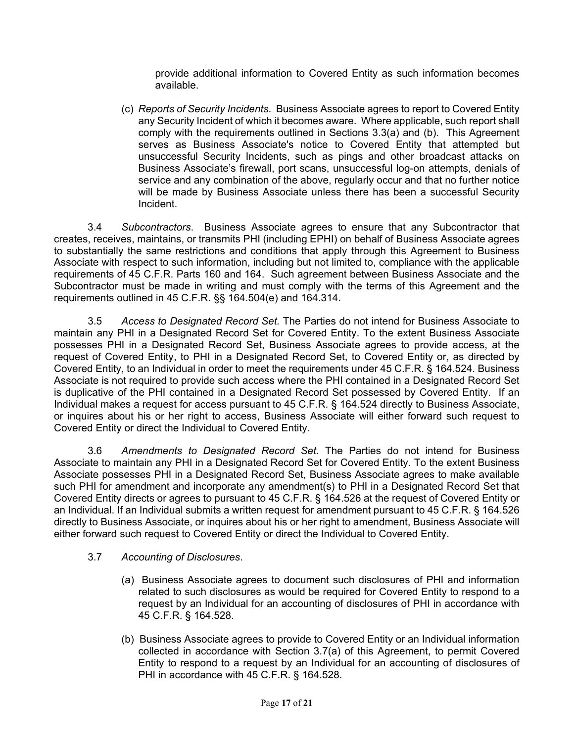provide additional information to Covered Entity as such information becomes available.

(c) *Reports of Security Incidents*. Business Associate agrees to report to Covered Entity any Security Incident of which it becomes aware. Where applicable, such report shall comply with the requirements outlined in Sections 3.3(a) and (b). This Agreement serves as Business Associate's notice to Covered Entity that attempted but unsuccessful Security Incidents, such as pings and other broadcast attacks on Business Associate's firewall, port scans, unsuccessful log-on attempts, denials of service and any combination of the above, regularly occur and that no further notice will be made by Business Associate unless there has been a successful Security Incident.

3.4 *Subcontractors*.Business Associate agrees to ensure that any Subcontractor that creates, receives, maintains, or transmits PHI (including EPHI) on behalf of Business Associate agrees to substantially the same restrictions and conditions that apply through this Agreement to Business Associate with respect to such information, including but not limited to, compliance with the applicable requirements of 45 C.F.R. Parts 160 and 164. Such agreement between Business Associate and the Subcontractor must be made in writing and must comply with the terms of this Agreement and the requirements outlined in 45 C.F.R. §§ 164.504(e) and 164.314.

3.5 *Access to Designated Record Set.* The Parties do not intend for Business Associate to maintain any PHI in a Designated Record Set for Covered Entity. To the extent Business Associate possesses PHI in a Designated Record Set, Business Associate agrees to provide access, at the request of Covered Entity, to PHI in a Designated Record Set, to Covered Entity or, as directed by Covered Entity, to an Individual in order to meet the requirements under 45 C.F.R. § 164.524. Business Associate is not required to provide such access where the PHI contained in a Designated Record Set is duplicative of the PHI contained in a Designated Record Set possessed by Covered Entity. If an Individual makes a request for access pursuant to 45 C.F.R. § 164.524 directly to Business Associate, or inquires about his or her right to access, Business Associate will either forward such request to Covered Entity or direct the Individual to Covered Entity.

3.6 *Amendments to Designated Record Set*. The Parties do not intend for Business Associate to maintain any PHI in a Designated Record Set for Covered Entity. To the extent Business Associate possesses PHI in a Designated Record Set, Business Associate agrees to make available such PHI for amendment and incorporate any amendment(s) to PHI in a Designated Record Set that Covered Entity directs or agrees to pursuant to 45 C.F.R. § 164.526 at the request of Covered Entity or an Individual. If an Individual submits a written request for amendment pursuant to 45 C.F.R. § 164.526 directly to Business Associate, or inquires about his or her right to amendment, Business Associate will either forward such request to Covered Entity or direct the Individual to Covered Entity.

#### 3.7 *Accounting of Disclosures*.

- (a) Business Associate agrees to document such disclosures of PHI and information related to such disclosures as would be required for Covered Entity to respond to a request by an Individual for an accounting of disclosures of PHI in accordance with 45 C.F.R. § 164.528.
- (b) Business Associate agrees to provide to Covered Entity or an Individual information collected in accordance with Section 3.7(a) of this Agreement, to permit Covered Entity to respond to a request by an Individual for an accounting of disclosures of PHI in accordance with 45 C.F.R. § 164.528.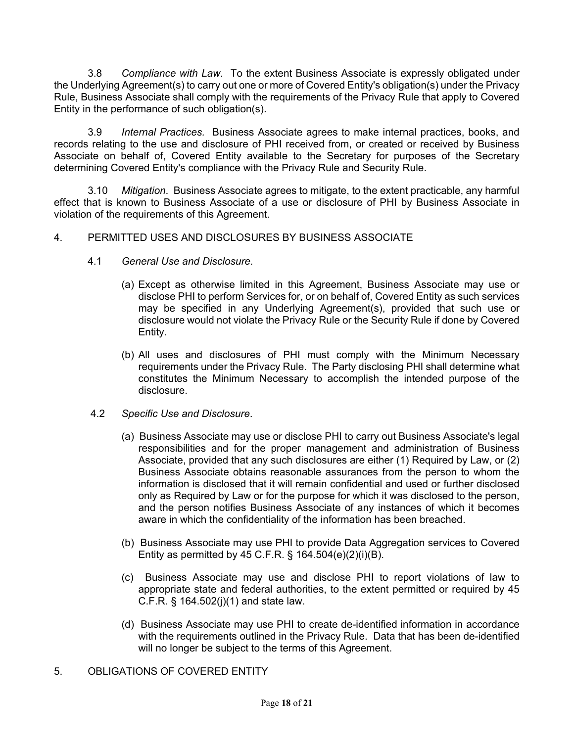3.8 *Compliance with Law*. To the extent Business Associate is expressly obligated under the Underlying Agreement(s) to carry out one or more of Covered Entity's obligation(s) under the Privacy Rule, Business Associate shall comply with the requirements of the Privacy Rule that apply to Covered Entity in the performance of such obligation(s).

3.9 *Internal Practices.* Business Associate agrees to make internal practices, books, and records relating to the use and disclosure of PHI received from, or created or received by Business Associate on behalf of, Covered Entity available to the Secretary for purposes of the Secretary determining Covered Entity's compliance with the Privacy Rule and Security Rule.

3.10 *Mitigation*. Business Associate agrees to mitigate, to the extent practicable, any harmful effect that is known to Business Associate of a use or disclosure of PHI by Business Associate in violation of the requirements of this Agreement.

#### 4. PERMITTED USES AND DISCLOSURES BY BUSINESS ASSOCIATE

- 4.1 *General Use and Disclosure.*
	- (a) Except as otherwise limited in this Agreement, Business Associate may use or disclose PHI to perform Services for, or on behalf of, Covered Entity as such services may be specified in any Underlying Agreement(s), provided that such use or disclosure would not violate the Privacy Rule or the Security Rule if done by Covered Entity.
	- (b) All uses and disclosures of PHI must comply with the Minimum Necessary requirements under the Privacy Rule. The Party disclosing PHI shall determine what constitutes the Minimum Necessary to accomplish the intended purpose of the disclosure.
- 4.2 *Specific Use and Disclosure*.
	- (a) Business Associate may use or disclose PHI to carry out Business Associate's legal responsibilities and for the proper management and administration of Business Associate, provided that any such disclosures are either (1) Required by Law, or (2) Business Associate obtains reasonable assurances from the person to whom the information is disclosed that it will remain confidential and used or further disclosed only as Required by Law or for the purpose for which it was disclosed to the person, and the person notifies Business Associate of any instances of which it becomes aware in which the confidentiality of the information has been breached.
	- (b) Business Associate may use PHI to provide Data Aggregation services to Covered Entity as permitted by  $45$  C.F.R. § 164.504(e)(2)(i)(B).
	- (c) Business Associate may use and disclose PHI to report violations of law to appropriate state and federal authorities, to the extent permitted or required by 45 C.F.R. § 164.502(j)(1) and state law.
	- (d) Business Associate may use PHI to create de-identified information in accordance with the requirements outlined in the Privacy Rule. Data that has been de-identified will no longer be subject to the terms of this Agreement.
- 5. OBLIGATIONS OF COVERED ENTITY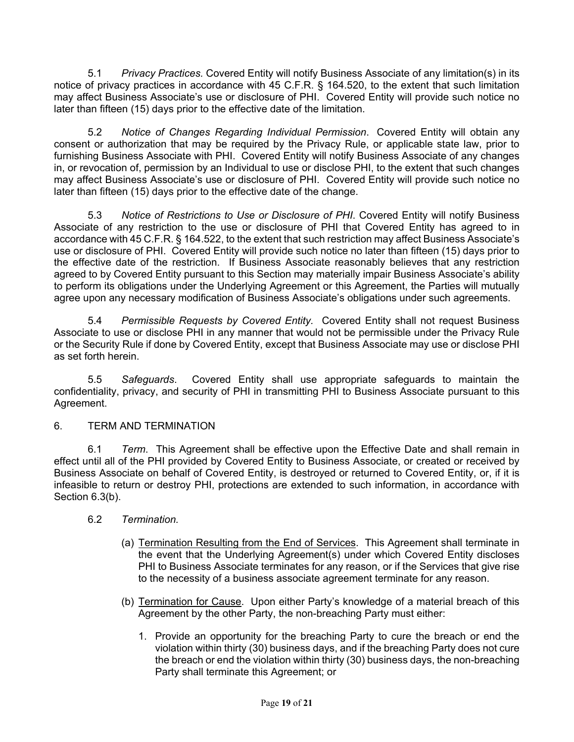5.1 *Privacy Practices.* Covered Entity will notify Business Associate of any limitation(s) in its notice of privacy practices in accordance with 45 C.F.R. § 164.520, to the extent that such limitation may affect Business Associate's use or disclosure of PHI. Covered Entity will provide such notice no later than fifteen (15) days prior to the effective date of the limitation.

5.2 *Notice of Changes Regarding Individual Permission*. Covered Entity will obtain any consent or authorization that may be required by the Privacy Rule, or applicable state law, prior to furnishing Business Associate with PHI. Covered Entity will notify Business Associate of any changes in, or revocation of, permission by an Individual to use or disclose PHI, to the extent that such changes may affect Business Associate's use or disclosure of PHI. Covered Entity will provide such notice no later than fifteen (15) days prior to the effective date of the change.

5.3 *Notice of Restrictions to Use or Disclosure of PHI*. Covered Entity will notify Business Associate of any restriction to the use or disclosure of PHI that Covered Entity has agreed to in accordance with 45 C.F.R. § 164.522, to the extent that such restriction may affect Business Associate's use or disclosure of PHI. Covered Entity will provide such notice no later than fifteen (15) days prior to the effective date of the restriction. If Business Associate reasonably believes that any restriction agreed to by Covered Entity pursuant to this Section may materially impair Business Associate's ability to perform its obligations under the Underlying Agreement or this Agreement, the Parties will mutually agree upon any necessary modification of Business Associate's obligations under such agreements.

5.4 *Permissible Requests by Covered Entity.* Covered Entity shall not request Business Associate to use or disclose PHI in any manner that would not be permissible under the Privacy Rule or the Security Rule if done by Covered Entity, except that Business Associate may use or disclose PHI as set forth herein.

5.5 *Safeguards*. Covered Entity shall use appropriate safeguards to maintain the confidentiality, privacy, and security of PHI in transmitting PHI to Business Associate pursuant to this Agreement.

## 6. TERM AND TERMINATION

6.1 *Term*. This Agreement shall be effective upon the Effective Date and shall remain in effect until all of the PHI provided by Covered Entity to Business Associate, or created or received by Business Associate on behalf of Covered Entity, is destroyed or returned to Covered Entity, or, if it is infeasible to return or destroy PHI, protections are extended to such information, in accordance with Section 6.3(b).

## 6.2 *Termination.*

- (a) Termination Resulting from the End of Services. This Agreement shall terminate in the event that the Underlying Agreement(s) under which Covered Entity discloses PHI to Business Associate terminates for any reason, or if the Services that give rise to the necessity of a business associate agreement terminate for any reason.
- (b) Termination for Cause. Upon either Party's knowledge of a material breach of this Agreement by the other Party, the non-breaching Party must either:
	- 1. Provide an opportunity for the breaching Party to cure the breach or end the violation within thirty (30) business days, and if the breaching Party does not cure the breach or end the violation within thirty (30) business days, the non-breaching Party shall terminate this Agreement; or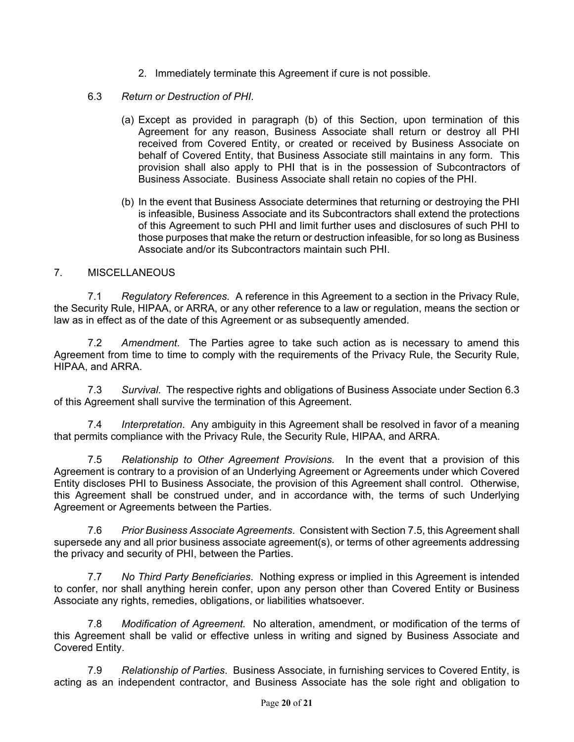- 2. Immediately terminate this Agreement if cure is not possible.
- 6.3 *Return or Destruction of PHI*.
	- (a) Except as provided in paragraph (b) of this Section, upon termination of this Agreement for any reason, Business Associate shall return or destroy all PHI received from Covered Entity, or created or received by Business Associate on behalf of Covered Entity, that Business Associate still maintains in any form. This provision shall also apply to PHI that is in the possession of Subcontractors of Business Associate. Business Associate shall retain no copies of the PHI.
	- (b) In the event that Business Associate determines that returning or destroying the PHI is infeasible, Business Associate and its Subcontractors shall extend the protections of this Agreement to such PHI and limit further uses and disclosures of such PHI to those purposes that make the return or destruction infeasible, for so long as Business Associate and/or its Subcontractors maintain such PHI.

## 7. MISCELLANEOUS

7.1 *Regulatory References.* A reference in this Agreement to a section in the Privacy Rule, the Security Rule, HIPAA, or ARRA, or any other reference to a law or regulation, means the section or law as in effect as of the date of this Agreement or as subsequently amended.

7.2 *Amendment*. The Parties agree to take such action as is necessary to amend this Agreement from time to time to comply with the requirements of the Privacy Rule, the Security Rule, HIPAA, and ARRA.

7.3 *Survival*. The respective rights and obligations of Business Associate under Section 6.3 of this Agreement shall survive the termination of this Agreement.

7.4 *Interpretation*. Any ambiguity in this Agreement shall be resolved in favor of a meaning that permits compliance with the Privacy Rule, the Security Rule, HIPAA, and ARRA.

7.5 *Relationship to Other Agreement Provisions.* In the event that a provision of this Agreement is contrary to a provision of an Underlying Agreement or Agreements under which Covered Entity discloses PHI to Business Associate, the provision of this Agreement shall control. Otherwise, this Agreement shall be construed under, and in accordance with, the terms of such Underlying Agreement or Agreements between the Parties.

7.6 *Prior Business Associate Agreements*. Consistent with Section 7.5, this Agreement shall supersede any and all prior business associate agreement(s), or terms of other agreements addressing the privacy and security of PHI, between the Parties.

7.7 *No Third Party Beneficiaries*. Nothing express or implied in this Agreement is intended to confer, nor shall anything herein confer, upon any person other than Covered Entity or Business Associate any rights, remedies, obligations, or liabilities whatsoever.

7.8 *Modification of Agreement.* No alteration, amendment, or modification of the terms of this Agreement shall be valid or effective unless in writing and signed by Business Associate and Covered Entity.

7.9 *Relationship of Parties*. Business Associate, in furnishing services to Covered Entity, is acting as an independent contractor, and Business Associate has the sole right and obligation to